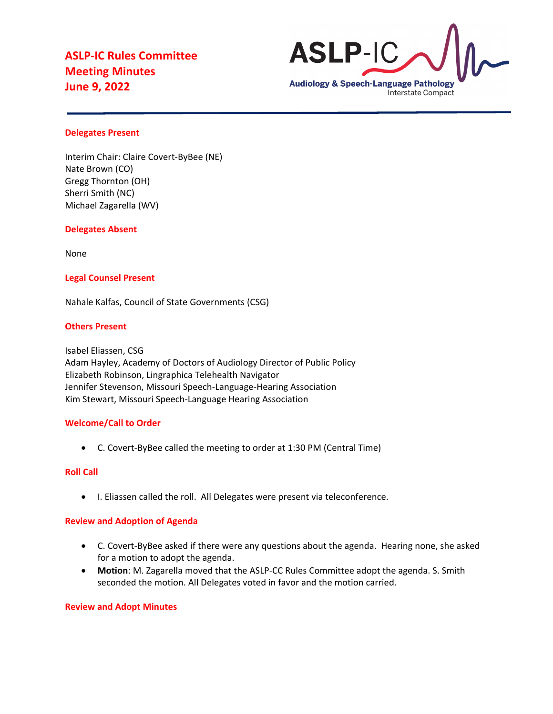

# **Delegates Present**

Interim Chair: Claire Covert-ByBee (NE) Nate Brown (CO) Gregg Thornton (OH) Sherri Smith (NC) Michael Zagarella (WV)

#### **Delegates Absent**

None

# **Legal Counsel Present**

Nahale Kalfas, Council of State Governments (CSG)

#### **Others Present**

Isabel Eliassen, CSG Adam Hayley, Academy of Doctors of Audiology Director of Public Policy Elizabeth Robinson, Lingraphica Telehealth Navigator Jennifer Stevenson, Missouri Speech-Language-Hearing Association Kim Stewart, Missouri Speech-Language Hearing Association

# **Welcome/Call to Order**

• C. Covert-ByBee called the meeting to order at 1:30 PM (Central Time)

# **Roll Call**

• I. Eliassen called the roll. All Delegates were present via teleconference.

#### **Review and Adoption of Agenda**

- C. Covert-ByBee asked if there were any questions about the agenda. Hearing none, she asked for a motion to adopt the agenda.
- **Motion**: M. Zagarella moved that the ASLP-CC Rules Committee adopt the agenda. S. Smith seconded the motion. All Delegates voted in favor and the motion carried.

#### **Review and Adopt Minutes**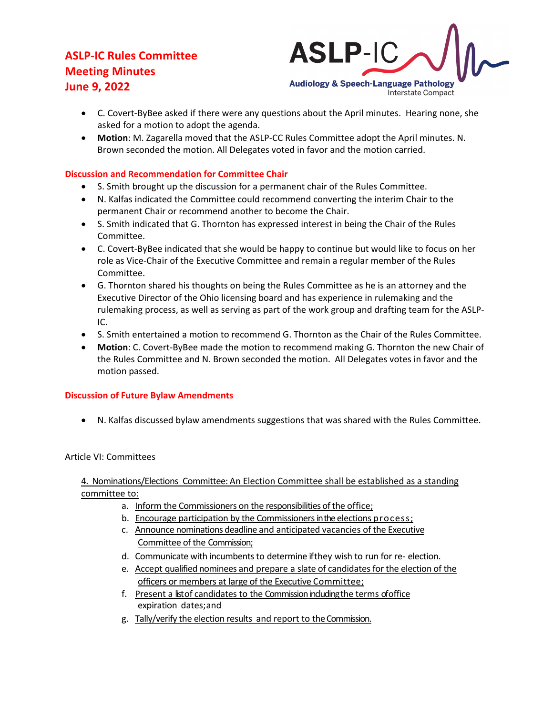

- C. Covert-ByBee asked if there were any questions about the April minutes. Hearing none, she asked for a motion to adopt the agenda.
- **Motion**: M. Zagarella moved that the ASLP-CC Rules Committee adopt the April minutes. N. Brown seconded the motion. All Delegates voted in favor and the motion carried.

# **Discussion and Recommendation for Committee Chair**

- S. Smith brought up the discussion for a permanent chair of the Rules Committee.
- N. Kalfas indicated the Committee could recommend converting the interim Chair to the permanent Chair or recommend another to become the Chair.
- S. Smith indicated that G. Thornton has expressed interest in being the Chair of the Rules Committee.
- C. Covert-ByBee indicated that she would be happy to continue but would like to focus on her role as Vice-Chair of the Executive Committee and remain a regular member of the Rules Committee.
- G. Thornton shared his thoughts on being the Rules Committee as he is an attorney and the Executive Director of the Ohio licensing board and has experience in rulemaking and the rulemaking process, as well as serving as part of the work group and drafting team for the ASLP-IC.
- S. Smith entertained a motion to recommend G. Thornton as the Chair of the Rules Committee.
- **Motion**: C. Covert-ByBee made the motion to recommend making G. Thornton the new Chair of the Rules Committee and N. Brown seconded the motion. All Delegates votes in favor and the motion passed.

# **Discussion of Future Bylaw Amendments**

• N. Kalfas discussed bylaw amendments suggestions that was shared with the Rules Committee.

# Article VI: Committees

4. Nominations/Elections Committee: An Election Committee shall be established as a standing committee to:

- a. Inform the Commissioners on the responsibilities of the office;
- b. Encourage participation by the Commissioners in the elections process;
- c. Announce nominations deadline and anticipated vacancies of the Executive Committee of the Commission;
- d. Communicate with incumbents to determine if they wish to run for re- election.
- e. Accept qualified nominees and prepare a slate of candidates for the election of the officers or members at large of the Executive Committee;
- f. Present a listof candidates to the Commission including the terms of office expiration dates;and
- g. Tally/verify the election results and report to theCommission.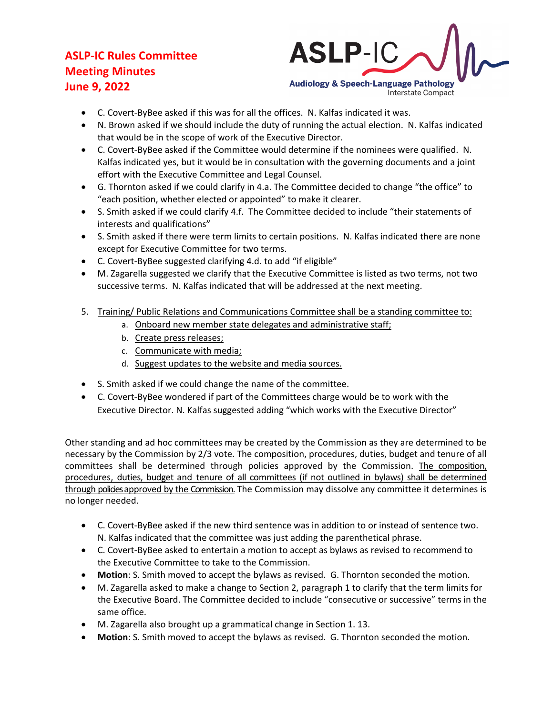

- C. Covert-ByBee asked if this was for all the offices. N. Kalfas indicated it was.
- N. Brown asked if we should include the duty of running the actual election. N. Kalfas indicated that would be in the scope of work of the Executive Director.
- C. Covert-ByBee asked if the Committee would determine if the nominees were qualified. N. Kalfas indicated yes, but it would be in consultation with the governing documents and a joint effort with the Executive Committee and Legal Counsel.
- G. Thornton asked if we could clarify in 4.a. The Committee decided to change "the office" to "each position, whether elected or appointed" to make it clearer.
- S. Smith asked if we could clarify 4.f. The Committee decided to include "their statements of interests and qualifications"
- S. Smith asked if there were term limits to certain positions. N. Kalfas indicated there are none except for Executive Committee for two terms.
- C. Covert-ByBee suggested clarifying 4.d. to add "if eligible"
- M. Zagarella suggested we clarify that the Executive Committee is listed as two terms, not two successive terms. N. Kalfas indicated that will be addressed at the next meeting.
- 5. Training/ Public Relations and Communications Committee shall be a standing committee to:
	- a. Onboard new member state delegates and administrative staff;
	- b. Create press releases;
	- c. Communicate with media;
	- d. Suggest updates to the website and media sources.
- S. Smith asked if we could change the name of the committee.
- C. Covert-ByBee wondered if part of the Committees charge would be to work with the Executive Director. N. Kalfas suggested adding "which works with the Executive Director"

Other standing and ad hoc committees may be created by the Commission as they are determined to be necessary by the Commission by 2/3 vote. The composition, procedures, duties, budget and tenure of all committees shall be determined through policies approved by the Commission. The composition, procedures, duties, budget and tenure of all committees (if not outlined in bylaws) shall be determined through policies approved by the Commission. The Commission may dissolve any committee it determines is no longer needed.

- C. Covert-ByBee asked if the new third sentence was in addition to or instead of sentence two. N. Kalfas indicated that the committee was just adding the parenthetical phrase.
- C. Covert-ByBee asked to entertain a motion to accept as bylaws as revised to recommend to the Executive Committee to take to the Commission.
- **Motion**: S. Smith moved to accept the bylaws as revised. G. Thornton seconded the motion.
- M. Zagarella asked to make a change to Section 2, paragraph 1 to clarify that the term limits for the Executive Board. The Committee decided to include "consecutive or successive" terms in the same office.
- M. Zagarella also brought up a grammatical change in Section 1. 13.
- **Motion**: S. Smith moved to accept the bylaws as revised. G. Thornton seconded the motion.